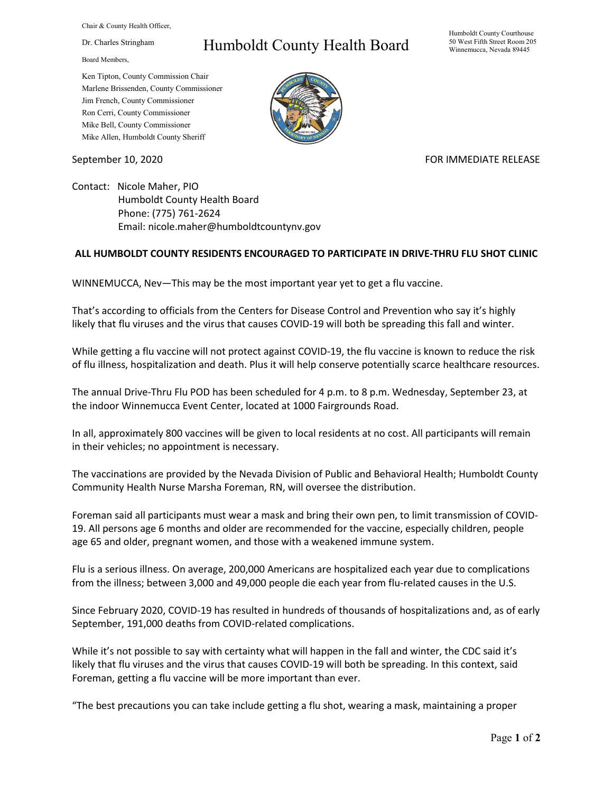Chair & County Health Officer,

Dr. Charles Stringham

Board Members,

## Humboldt County Health Board

Humboldt County Courthouse 50 West Fifth Street Room 205 Winnemucca, Nevada 89445

Ken Tipton, County Commission Chair Marlene Brissenden, County Commissioner Jim French, County Commissioner Ron Cerri, County Commissioner Mike Bell, County Commissioner Mike Allen, Humboldt County Sheriff

September 10, 2020 FOR IMMEDIATE RELEASE

Contact: Nicole Maher, PIO Humboldt County Health Board Phone: (775) 761-2624 Email: nicole.maher@humboldtcountynv.gov

## **ALL HUMBOLDT COUNTY RESIDENTS ENCOURAGED TO PARTICIPATE IN DRIVE-THRU FLU SHOT CLINIC**

WINNEMUCCA, Nev—This may be the most important year yet to get a flu vaccine.

That's according to officials from the Centers for Disease Control and Prevention who say it's highly likely that flu viruses and the virus that causes COVID-19 will both be spreading this fall and winter.

While getting a flu vaccine will not protect against COVID-19, the flu vaccine is known to reduce the risk of flu illness, hospitalization and death. Plus it will help conserve potentially scarce healthcare resources.

The annual Drive-Thru Flu POD has been scheduled for 4 p.m. to 8 p.m. Wednesday, September 23, at the indoor Winnemucca Event Center, located at 1000 Fairgrounds Road.

In all, approximately 800 vaccines will be given to local residents at no cost. All participants will remain in their vehicles; no appointment is necessary.

The vaccinations are provided by the Nevada Division of Public and Behavioral Health; Humboldt County Community Health Nurse Marsha Foreman, RN, will oversee the distribution.

Foreman said all participants must wear a mask and bring their own pen, to limit transmission of COVID-19. All persons age 6 months and older are recommended for the vaccine, especially children, people age 65 and older, pregnant women, and those with a weakened immune system.

Flu is a serious illness. On average, 200,000 Americans are hospitalized each year due to complications from the illness; between 3,000 and 49,000 people die each year from flu-related causes in the U.S.

Since February 2020, COVID-19 has resulted in hundreds of thousands of hospitalizations and, as of early September, 191,000 deaths from COVID-related complications.

While it's not possible to say with certainty what will happen in the fall and winter, the CDC said it's likely that flu viruses and the virus that causes COVID-19 will both be spreading. In this context, said Foreman, getting a flu vaccine will be more important than ever.

"The best precautions you can take include getting a flu shot, wearing a mask, maintaining a proper